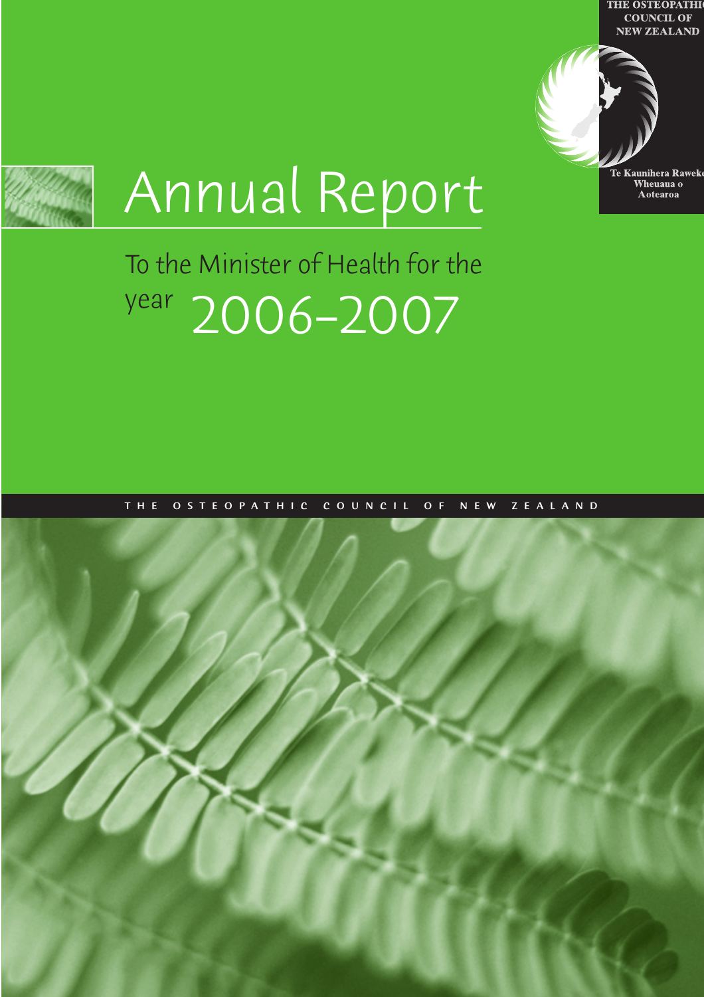**THE OSTEOPATHI COUNCIL OF NEW ZEALAND** 



Te Kaunihera Rawek Wheuaua o **Aotearoa** 

# Annual Report

## To the Minister of Health for the year 2006–2007

THE OSTEOPATHIC COUNCIL OF NEW ZEALAND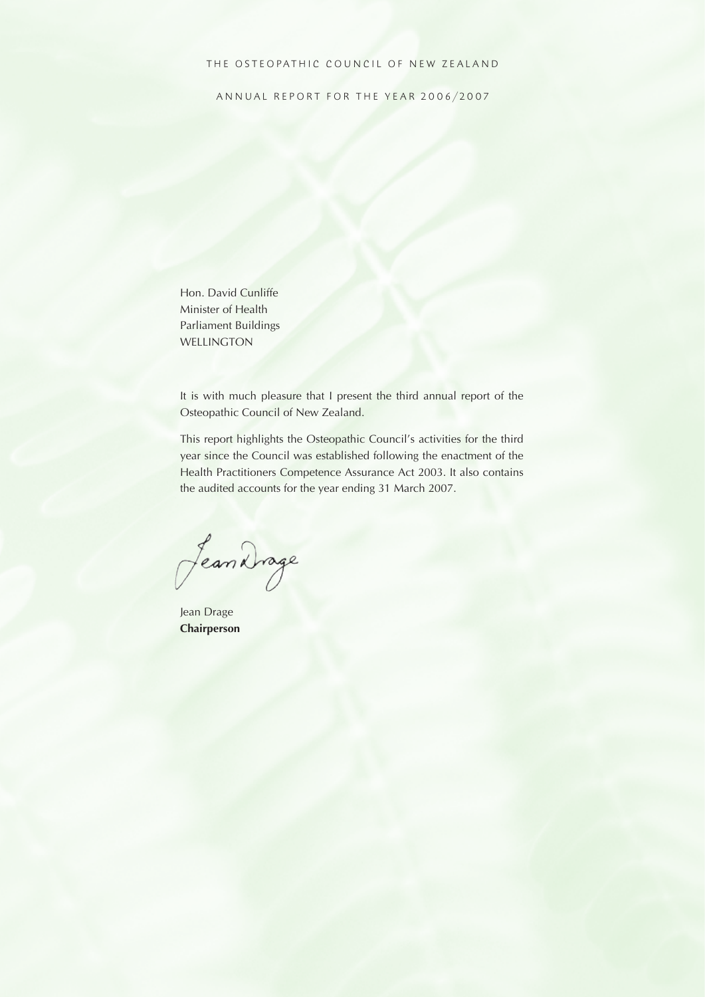#### THE OSTEOPATHIC COUNCIL OF NEW ZEALAND

ANNUAL REPORT FOR THE YEAR 2006/2007

Hon. David Cunliffe Minister of Health Parliament Buildings WELLINGTON

It is with much pleasure that I present the third annual report of the Osteopathic Council of New Zealand.

This report highlights the Osteopathic Council's activities for the third year since the Council was established following the enactment of the Health Practitioners Competence Assurance Act 2003. It also contains the audited accounts for the year ending 31 March 2007.

Jean Drage

Jean Drage **Chairperson**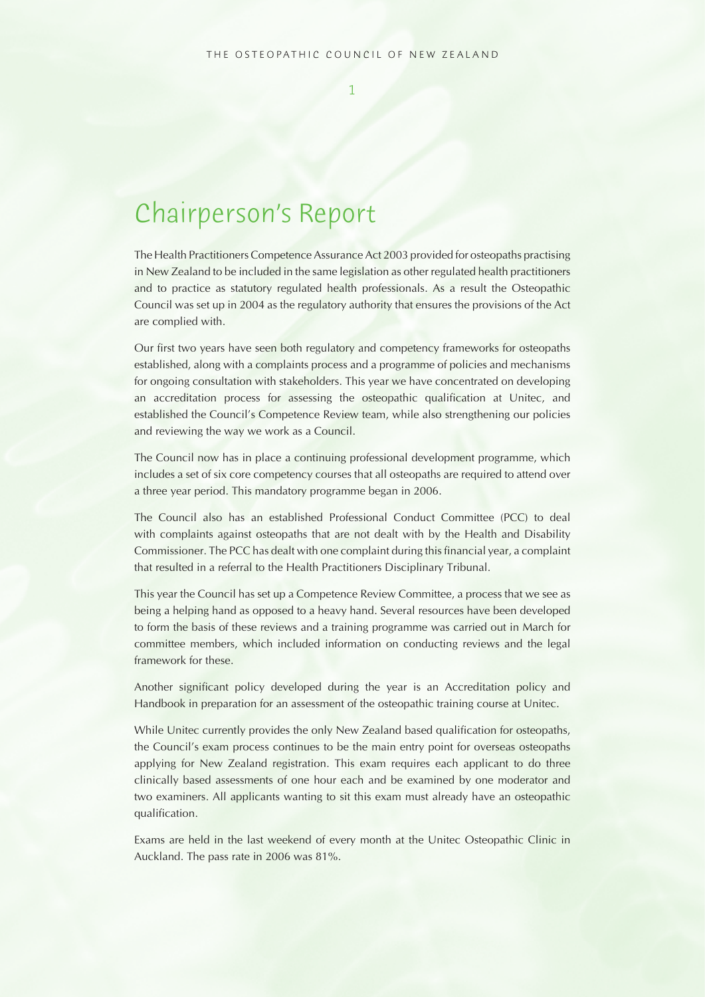## Chairperson's Report

The Health Practitioners Competence Assurance Act 2003 provided for osteopaths practising in New Zealand to be included in the same legislation as other regulated health practitioners and to practice as statutory regulated health professionals. As a result the Osteopathic Council was set up in 2004 as the regulatory authority that ensures the provisions of the Act are complied with.

Our first two years have seen both regulatory and competency frameworks for osteopaths established, along with a complaints process and a programme of policies and mechanisms for ongoing consultation with stakeholders. This year we have concentrated on developing an accreditation process for assessing the osteopathic qualification at Unitec, and established the Council's Competence Review team, while also strengthening our policies and reviewing the way we work as a Council.

The Council now has in place a continuing professional development programme, which includes a set of six core competency courses that all osteopaths are required to attend over a three year period. This mandatory programme began in 2006.

The Council also has an established Professional Conduct Committee (PCC) to deal with complaints against osteopaths that are not dealt with by the Health and Disability Commissioner. The PCC has dealt with one complaint during this financial year, a complaint that resulted in a referral to the Health Practitioners Disciplinary Tribunal.

This year the Council has set up a Competence Review Committee, a process that we see as being a helping hand as opposed to a heavy hand. Several resources have been developed to form the basis of these reviews and a training programme was carried out in March for committee members, which included information on conducting reviews and the legal framework for these.

Another significant policy developed during the year is an Accreditation policy and Handbook in preparation for an assessment of the osteopathic training course at Unitec.

While Unitec currently provides the only New Zealand based qualification for osteopaths, the Council's exam process continues to be the main entry point for overseas osteopaths applying for New Zealand registration. This exam requires each applicant to do three clinically based assessments of one hour each and be examined by one moderator and two examiners. All applicants wanting to sit this exam must already have an osteopathic qualification.

Exams are held in the last weekend of every month at the Unitec Osteopathic Clinic in Auckland. The pass rate in 2006 was 81%.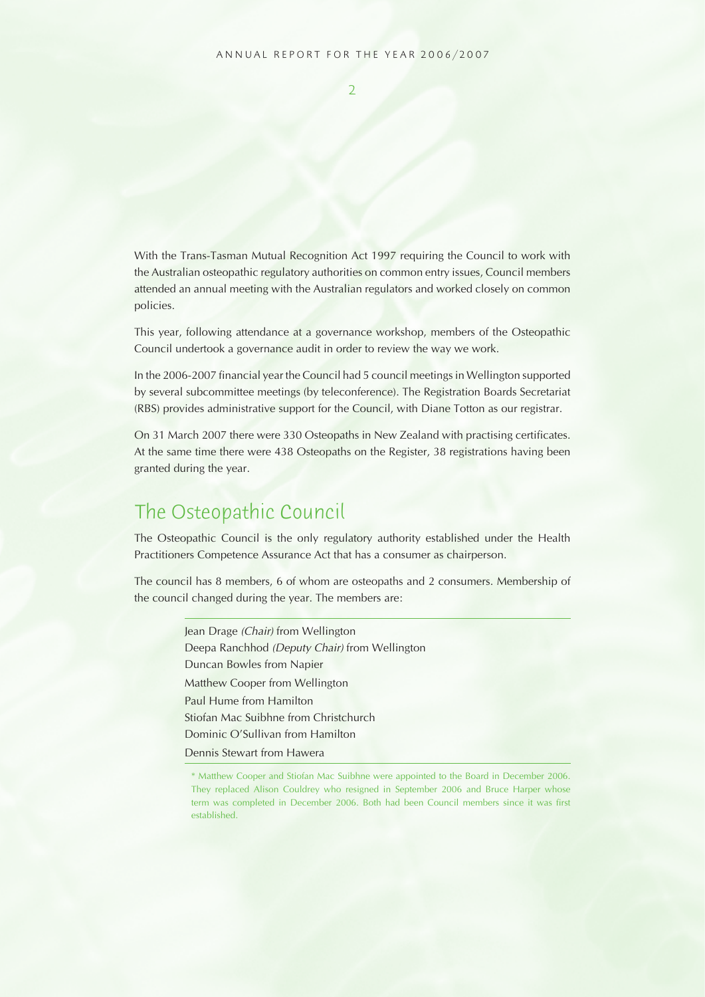$\overline{2}$ 

With the Trans-Tasman Mutual Recognition Act 1997 requiring the Council to work with the Australian osteopathic regulatory authorities on common entry issues, Council members attended an annual meeting with the Australian regulators and worked closely on common policies.

This year, following attendance at a governance workshop, members of the Osteopathic Council undertook a governance audit in order to review the way we work.

In the 2006-2007 financial year the Council had 5 council meetings in Wellington supported by several subcommittee meetings (by teleconference). The Registration Boards Secretariat (RBS) provides administrative support for the Council, with Diane Totton as our registrar.

On 31 March 2007 there were 330 Osteopaths in New Zealand with practising certificates. At the same time there were 438 Osteopaths on the Register, 38 registrations having been granted during the year.

## The Osteopathic Council

The Osteopathic Council is the only regulatory authority established under the Health Practitioners Competence Assurance Act that has a consumer as chairperson.

The council has 8 members, 6 of whom are osteopaths and 2 consumers. Membership of the council changed during the year. The members are:

> Jean Drage (Chair) from Wellington Deepa Ranchhod (Deputy Chair) from Wellington Duncan Bowles from Napier Matthew Cooper from Wellington Paul Hume from Hamilton Stiofan Mac Suibhne from Christchurch Dominic O'Sullivan from Hamilton Dennis Stewart from Hawera

<sup>\*</sup> Matthew Cooper and Stiofan Mac Suibhne were appointed to the Board in December 2006. They replaced Alison Couldrey who resigned in September 2006 and Bruce Harper whose term was completed in December 2006. Both had been Council members since it was first established.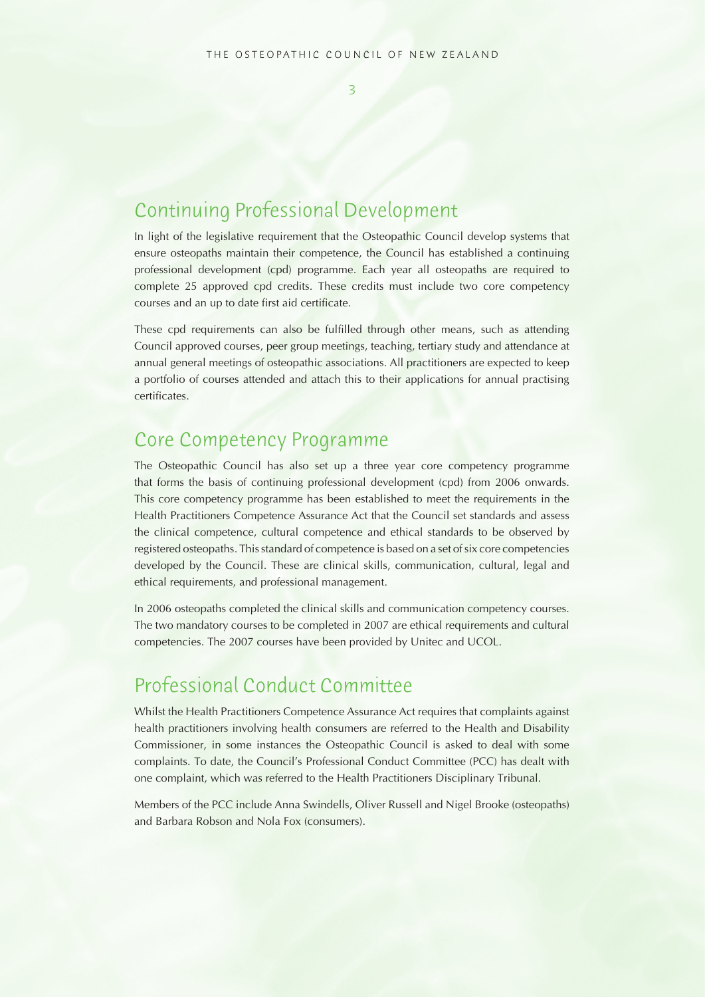$\overline{\mathbf{z}}$ 

## Continuing Professional Development

In light of the legislative requirement that the Osteopathic Council develop systems that ensure osteopaths maintain their competence, the Council has established a continuing professional development (cpd) programme. Each year all osteopaths are required to complete 25 approved cpd credits. These credits must include two core competency courses and an up to date first aid certificate.

These cpd requirements can also be fulfilled through other means, such as attending Council approved courses, peer group meetings, teaching, tertiary study and attendance at annual general meetings of osteopathic associations. All practitioners are expected to keep a portfolio of courses attended and attach this to their applications for annual practising certificates.

## Core Competency Programme

The Osteopathic Council has also set up a three year core competency programme that forms the basis of continuing professional development (cpd) from 2006 onwards. This core competency programme has been established to meet the requirements in the Health Practitioners Competence Assurance Act that the Council set standards and assess the clinical competence, cultural competence and ethical standards to be observed by registered osteopaths. This standard of competence is based on a set of six core competencies developed by the Council. These are clinical skills, communication, cultural, legal and ethical requirements, and professional management.

In 2006 osteopaths completed the clinical skills and communication competency courses. The two mandatory courses to be completed in 2007 are ethical requirements and cultural competencies. The 2007 courses have been provided by Unitec and UCOL.

## Professional Conduct Committee

Whilst the Health Practitioners Competence Assurance Act requires that complaints against health practitioners involving health consumers are referred to the Health and Disability Commissioner, in some instances the Osteopathic Council is asked to deal with some complaints. To date, the Council's Professional Conduct Committee (PCC) has dealt with one complaint, which was referred to the Health Practitioners Disciplinary Tribunal.

Members of the PCC include Anna Swindells, Oliver Russell and Nigel Brooke (osteopaths) and Barbara Robson and Nola Fox (consumers).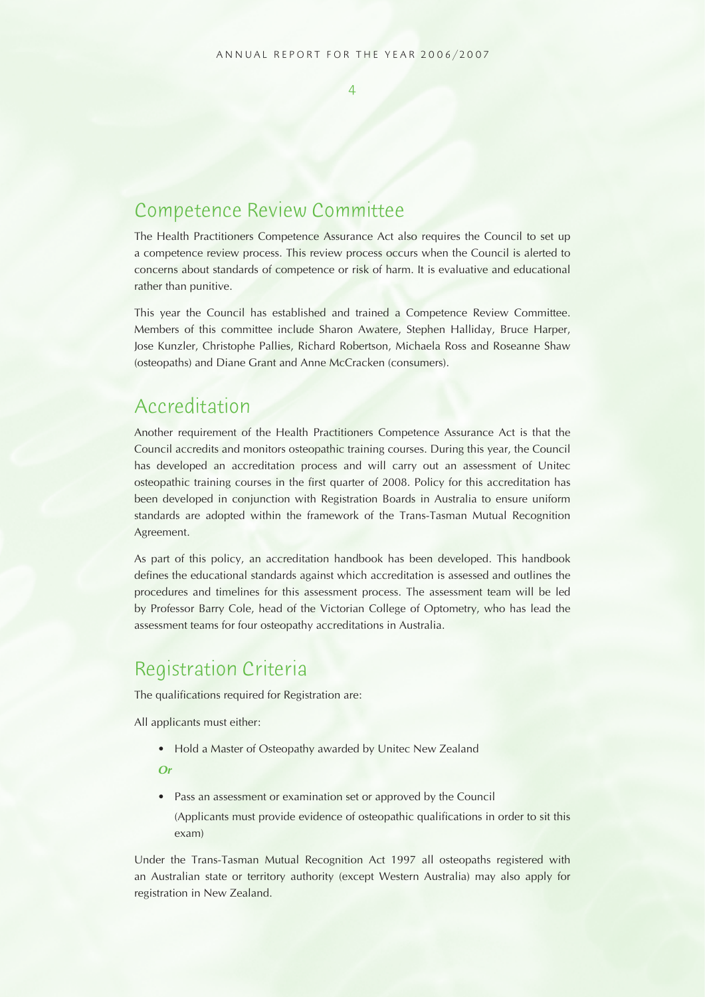## Competence Review Committee

The Health Practitioners Competence Assurance Act also requires the Council to set up a competence review process. This review process occurs when the Council is alerted to concerns about standards of competence or risk of harm. It is evaluative and educational rather than punitive.

This year the Council has established and trained a Competence Review Committee. Members of this committee include Sharon Awatere, Stephen Halliday, Bruce Harper, Jose Kunzler, Christophe Pallies, Richard Robertson, Michaela Ross and Roseanne Shaw (osteopaths) and Diane Grant and Anne McCracken (consumers).

## Accreditation

Another requirement of the Health Practitioners Competence Assurance Act is that the Council accredits and monitors osteopathic training courses. During this year, the Council has developed an accreditation process and will carry out an assessment of Unitec osteopathic training courses in the first quarter of 2008. Policy for this accreditation has been developed in conjunction with Registration Boards in Australia to ensure uniform standards are adopted within the framework of the Trans-Tasman Mutual Recognition Agreement.

As part of this policy, an accreditation handbook has been developed. This handbook defines the educational standards against which accreditation is assessed and outlines the procedures and timelines for this assessment process. The assessment team will be led by Professor Barry Cole, head of the Victorian College of Optometry, who has lead the assessment teams for four osteopathy accreditations in Australia.

## Registration Criteria

The qualifications required for Registration are:

All applicants must either:

• Hold a Master of Osteopathy awarded by Unitec New Zealand

 **Or**

• Pass an assessment or examination set or approved by the Council

(Applicants must provide evidence of osteopathic qualifications in order to sit this exam)

Under the Trans-Tasman Mutual Recognition Act 1997 all osteopaths registered with an Australian state or territory authority (except Western Australia) may also apply for registration in New Zealand.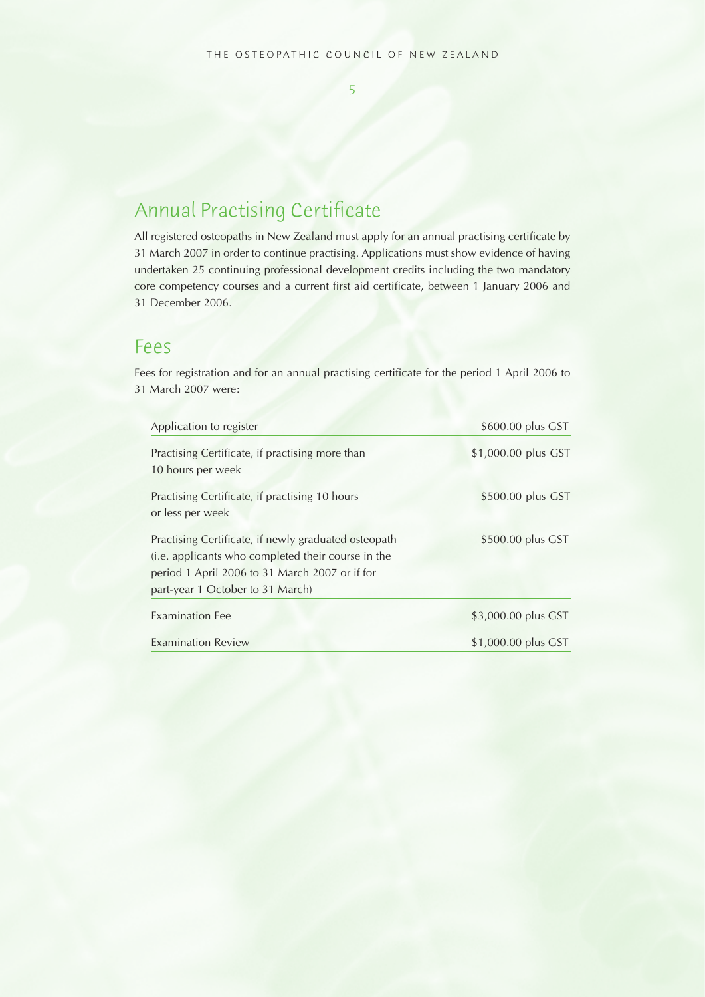## Annual Practising Certificate

All registered osteopaths in New Zealand must apply for an annual practising certificate by 31 March 2007 in order to continue practising. Applications must show evidence of having undertaken 25 continuing professional development credits including the two mandatory core competency courses and a current first aid certificate, between 1 January 2006 and 31 December 2006.

## Fees

Fees for registration and for an annual practising certificate for the period 1 April 2006 to 31 March 2007 were:

| Application to register                              | \$600.00 plus GST   |  |  |
|------------------------------------------------------|---------------------|--|--|
| Practising Certificate, if practising more than      | \$1,000.00 plus GST |  |  |
| 10 hours per week                                    |                     |  |  |
| Practising Certificate, if practising 10 hours       | \$500.00 plus GST   |  |  |
| or less per week                                     |                     |  |  |
| Practising Certificate, if newly graduated osteopath | \$500.00 plus GST   |  |  |
| (i.e. applicants who completed their course in the   |                     |  |  |
| period 1 April 2006 to 31 March 2007 or if for       |                     |  |  |
| part-year 1 October to 31 March)                     |                     |  |  |
| <b>Examination Fee</b>                               | \$3,000.00 plus GST |  |  |
| <b>Examination Review</b>                            | \$1,000.00 plus GST |  |  |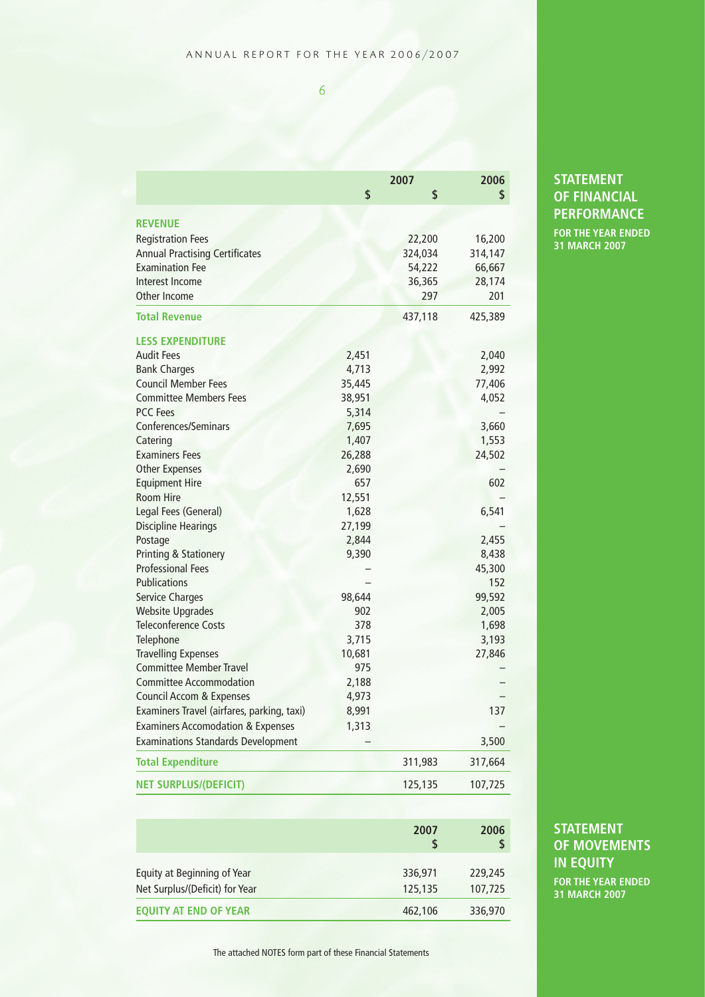|                                              | 2007   |         | 2006    |  |
|----------------------------------------------|--------|---------|---------|--|
|                                              | \$     | \$      | \$      |  |
|                                              |        |         |         |  |
| <b>REVENUE</b>                               |        |         |         |  |
| <b>Registration Fees</b>                     |        | 22,200  | 16,200  |  |
| <b>Annual Practising Certificates</b>        |        | 324,034 | 314,147 |  |
| <b>Examination Fee</b>                       |        | 54,222  | 66,667  |  |
| Interest Income                              |        | 36,365  | 28,174  |  |
| Other Income                                 |        | 297     | 201     |  |
| <b>Total Revenue</b>                         |        | 437,118 | 425,389 |  |
| <b>LESS EXPENDITURE</b>                      |        |         |         |  |
| <b>Audit Fees</b>                            | 2,451  |         | 2,040   |  |
| <b>Bank Charges</b>                          | 4,713  |         | 2,992   |  |
| <b>Council Member Fees</b>                   | 35,445 |         | 77,406  |  |
| <b>Committee Members Fees</b>                | 38,951 |         | 4,052   |  |
| <b>PCC Fees</b>                              | 5,314  |         |         |  |
| Conferences/Seminars                         | 7,695  |         | 3,660   |  |
| Catering                                     | 1,407  |         | 1,553   |  |
| <b>Examiners Fees</b>                        | 26,288 |         | 24,502  |  |
| <b>Other Expenses</b>                        | 2,690  |         |         |  |
| <b>Equipment Hire</b>                        | 657    |         | 602     |  |
| <b>Room Hire</b>                             | 12,551 |         |         |  |
| Legal Fees (General)                         | 1,628  |         | 6,541   |  |
| <b>Discipline Hearings</b>                   | 27,199 |         |         |  |
| Postage                                      | 2,844  |         | 2,455   |  |
| <b>Printing &amp; Stationery</b>             | 9,390  |         | 8,438   |  |
| <b>Professional Fees</b>                     |        |         | 45,300  |  |
| <b>Publications</b>                          |        |         | 152     |  |
| <b>Service Charges</b>                       | 98,644 |         | 99,592  |  |
| <b>Website Upgrades</b>                      | 902    |         | 2,005   |  |
| <b>Teleconference Costs</b>                  | 378    |         | 1,698   |  |
| Telephone                                    | 3,715  |         | 3,193   |  |
| <b>Travelling Expenses</b>                   | 10,681 |         | 27,846  |  |
| <b>Committee Member Travel</b>               | 975    |         |         |  |
| <b>Committee Accommodation</b>               | 2,188  |         |         |  |
| <b>Council Accom &amp; Expenses</b>          | 4,973  |         |         |  |
| Examiners Travel (airfares, parking, taxi)   | 8,991  |         | 137     |  |
| <b>Examiners Accomodation &amp; Expenses</b> | 1,313  |         |         |  |
| <b>Examinations Standards Development</b>    |        |         | 3,500   |  |
| <b>Total Expenditure</b>                     |        | 311,983 | 317,664 |  |
| <b>NET SURPLUS/(DEFICIT)</b>                 |        | 125,135 | 107,725 |  |

## **STATEMENT OF FINANCIAL PERFORMANCE**

**FOR THE YEAR ENDED 31 MARCH 2007**

| <b>STATEMENT</b>    |  |
|---------------------|--|
| <b>OF MOVEMENTS</b> |  |
| <b>IN EQUITY</b>    |  |

 **2007 2006 \$ \$**

> **FOR THE YEAR ENDED 31 MARCH 2007**

The attached NOTES form part of these Financial Statements

Equity at Beginning of Year 336,971 229,245 Net Surplus/(Deficit) for Year 125,135 107,725 **EQUITY AT END OF YEAR** 462,106 336,970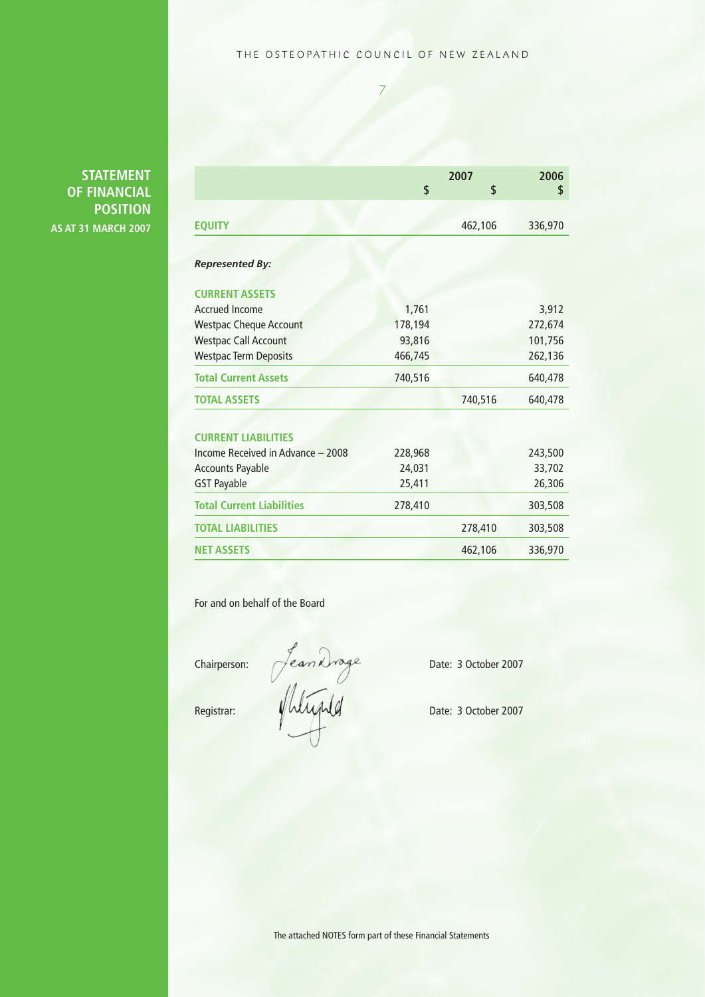#### THE OSTEOPATHIC COUNCIL OF NEW ZEALAND

7

**STATEMENT OF FINANCIAL POSITION AS AT 31 MARCH 2007**

|                                   | 2007    |         | 2006    |
|-----------------------------------|---------|---------|---------|
|                                   | \$      | \$      | \$      |
| <b>EQUITY</b>                     |         | 462,106 | 336,970 |
|                                   |         |         |         |
| <b>Represented By:</b>            |         |         |         |
| <b>CURRENT ASSETS</b>             |         |         |         |
| <b>Accrued Income</b>             | 1,761   |         | 3,912   |
| <b>Westpac Cheque Account</b>     | 178,194 |         | 272,674 |
| <b>Westpac Call Account</b>       | 93,816  |         | 101,756 |
| <b>Westpac Term Deposits</b>      | 466,745 |         | 262,136 |
| <b>Total Current Assets</b>       | 740,516 |         | 640,478 |
| <b>TOTAL ASSETS</b>               |         | 740,516 | 640,478 |
|                                   |         |         |         |
| <b>CURRENT LIABILITIES</b>        |         |         |         |
| Income Received in Advance - 2008 | 228,968 |         | 243,500 |
| <b>Accounts Payable</b>           | 24,031  |         | 33,702  |
| <b>GST Payable</b>                | 25,411  |         | 26,306  |
| <b>Total Current Liabilities</b>  | 278,410 |         | 303,508 |
| <b>TOTAL LIABILITIES</b>          |         | 278,410 | 303,508 |
| <b>NET ASSETS</b>                 |         | 462,106 | 336,970 |

For and on behalf of the Board

Chairperson:  $\bigcap$  ea $m$  K  $\bigcap$  equals behavior. Date: 3 October 2007

Registrar: WWWWWM Date: 3 October 2007

The attached NOTES form part of these Financial Statements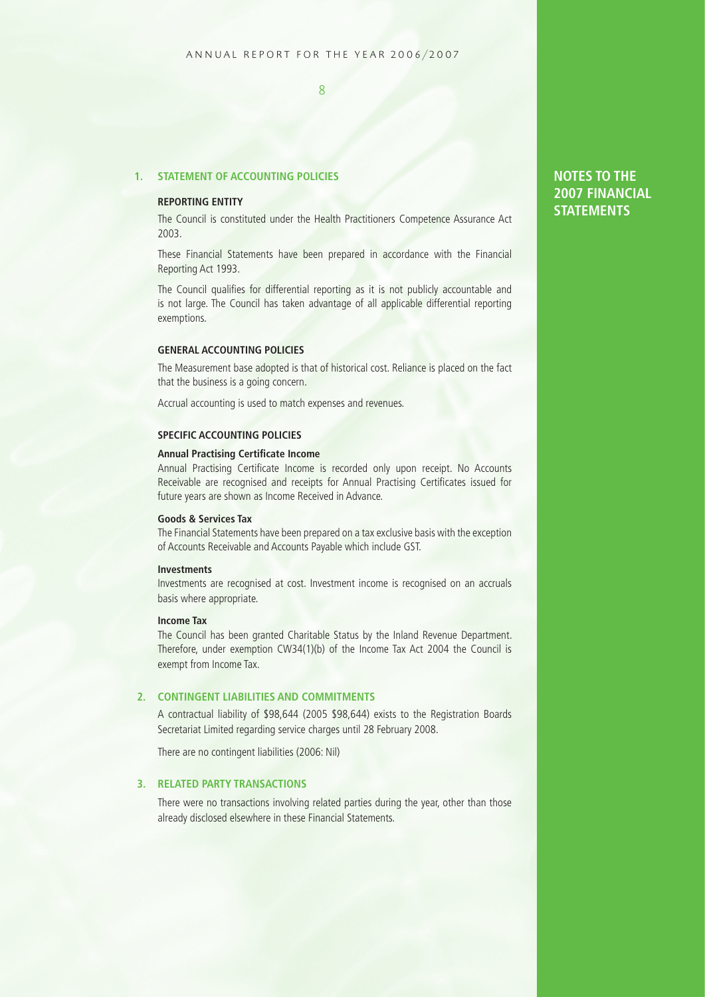#### **1. STATEMENT OF ACCOUNTING POLICIES**

#### **REPORTING ENTITY**

The Council is constituted under the Health Practitioners Competence Assurance Act 2003.

These Financial Statements have been prepared in accordance with the Financial Reporting Act 1993.

The Council qualifies for differential reporting as it is not publicly accountable and is not large. The Council has taken advantage of all applicable differential reporting exemptions.

#### **GENERAL ACCOUNTING POLICIES**

The Measurement base adopted is that of historical cost. Reliance is placed on the fact that the business is a going concern.

Accrual accounting is used to match expenses and revenues.

#### **SPECIFIC ACCOUNTING POLICIES**

#### **Annual Practising Certificate Income**

Annual Practising Certificate Income is recorded only upon receipt. No Accounts Receivable are recognised and receipts for Annual Practising Certificates issued for future years are shown as Income Received in Advance.

#### **Goods & Services Tax**

The Financial Statements have been prepared on a tax exclusive basis with the exception of Accounts Receivable and Accounts Payable which include GST.

#### **Investments**

Investments are recognised at cost. Investment income is recognised on an accruals basis where appropriate.

#### **Income Tax**

The Council has been granted Charitable Status by the Inland Revenue Department. Therefore, under exemption CW34(1)(b) of the Income Tax Act 2004 the Council is exempt from Income Tax.

#### **2. CONTINGENT LIABILITIES AND COMMITMENTS**

A contractual liability of \$98,644 (2005 \$98,644) exists to the Registration Boards Secretariat Limited regarding service charges until 28 February 2008.

There are no contingent liabilities (2006: Nil)

#### **3. RELATED PARTY TRANSACTIONS**

There were no transactions involving related parties during the year, other than those already disclosed elsewhere in these Financial Statements.

#### **NOTES TO THE 2007 FINANCIAL STATEMENTS**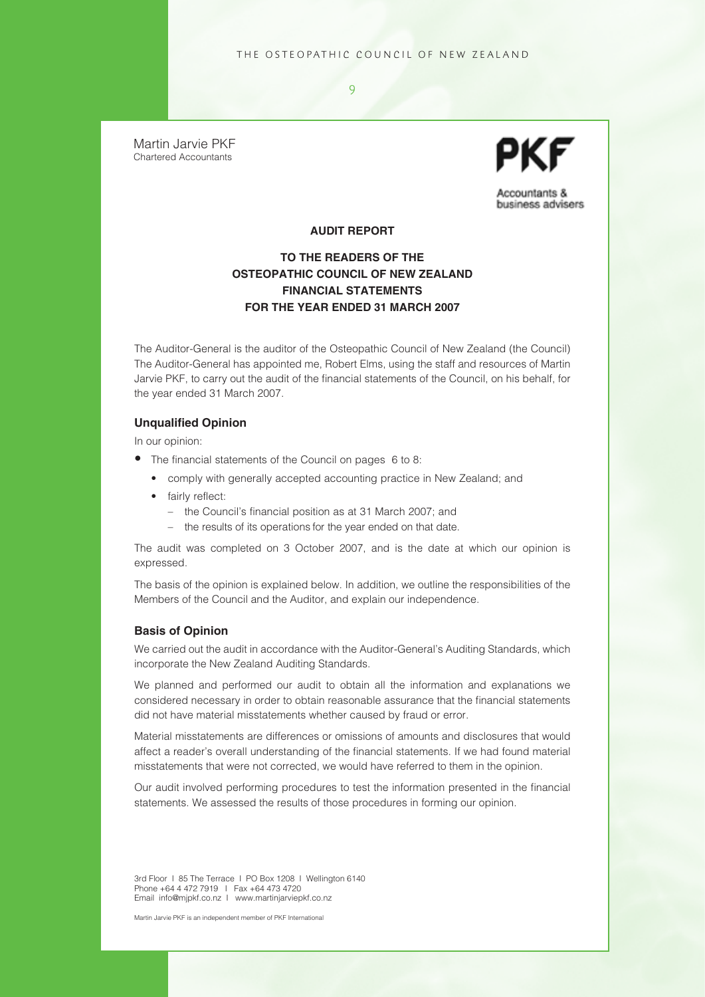Martin Jarvie PKF Chartered Accountants



Accountants & business advisers

#### **AUDIT REPORT**

 $\overline{Q}$ 

#### **TO THE READERS OF THE OSTEOPATHIC COUNCIL OF NEW ZEALAND FINANCIAL STATEMENTS FOR THE YEAR ENDED 31 MARCH 2007**

The Auditor-General is the auditor of the Osteopathic Council of New Zealand (the Council) The Auditor-General has appointed me, Robert Elms, using the staff and resources of Martin Jarvie PKF, to carry out the audit of the financial statements of the Council, on his behalf, for the year ended 31 March 2007.

#### **Unqualified Opinion**

In our opinion:

- The financial statements of the Council on pages 6 to 8:
	- comply with generally accepted accounting practice in New Zealand; and
	- fairly reflect:
		- the Council's financial position as at 31 March 2007; and
		- the results of its operations for the year ended on that date.

The audit was completed on 3 October 2007, and is the date at which our opinion is expressed.

The basis of the opinion is explained below. In addition, we outline the responsibilities of the Members of the Council and the Auditor, and explain our independence.

#### **Basis of Opinion**

We carried out the audit in accordance with the Auditor-General's Auditing Standards, which incorporate the New Zealand Auditing Standards.

We planned and performed our audit to obtain all the information and explanations we considered necessary in order to obtain reasonable assurance that the financial statements did not have material misstatements whether caused by fraud or error.

Material misstatements are differences or omissions of amounts and disclosures that would affect a reader's overall understanding of the financial statements. If we had found material misstatements that were not corrected, we would have referred to them in the opinion.

Our audit involved performing procedures to test the information presented in the financial statements. We assessed the results of those procedures in forming our opinion.

3rd Floor I 85 The Terrace I PO Box 1208 I Wellington 6140 Phone +64 4 472 7919 I Fax +64 473 4720 Email info@mjpkf.co.nz I www.martinjarviepkf.co.nz

Martin Jarvie PKF is an independent member of PKF International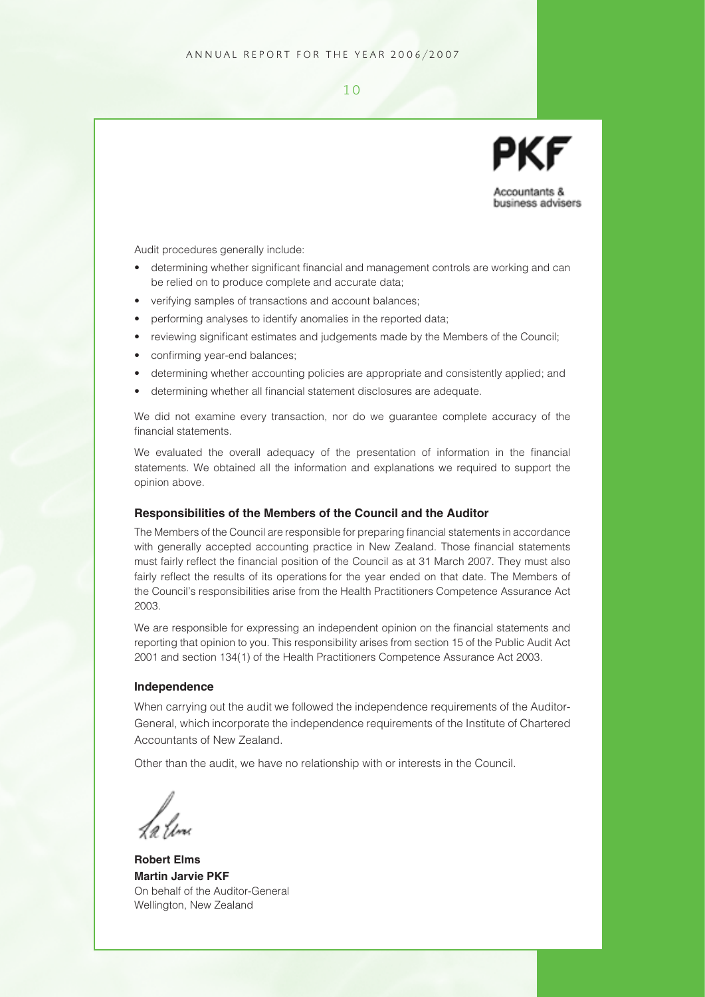Accountants & business advisers

Audit procedures generally include:

- determining whether significant financial and management controls are working and can be relied on to produce complete and accurate data;
- verifying samples of transactions and account balances;
- performing analyses to identify anomalies in the reported data;
- reviewing significant estimates and judgements made by the Members of the Council;
- confirming year-end balances;
- determining whether accounting policies are appropriate and consistently applied; and
- determining whether all financial statement disclosures are adequate.

We did not examine every transaction, nor do we guarantee complete accuracy of the financial statements.

We evaluated the overall adequacy of the presentation of information in the financial statements. We obtained all the information and explanations we required to support the opinion above.

#### **Responsibilities of the Members of the Council and the Auditor**

The Members of the Council are responsible for preparing financial statements in accordance with generally accepted accounting practice in New Zealand. Those financial statements must fairly reflect the financial position of the Council as at 31 March 2007. They must also fairly reflect the results of its operations for the year ended on that date. The Members of the Council's responsibilities arise from the Health Practitioners Competence Assurance Act 2003.

We are responsible for expressing an independent opinion on the financial statements and reporting that opinion to you. This responsibility arises from section 15 of the Public Audit Act 2001 and section 134(1) of the Health Practitioners Competence Assurance Act 2003.

#### **Independence**

When carrying out the audit we followed the independence requirements of the Auditor-General, which incorporate the independence requirements of the Institute of Chartered Accountants of New Zealand.

Other than the audit, we have no relationship with or interests in the Council.

**Robert Elms Martin Jarvie PKF** On behalf of the Auditor-General Wellington, New Zealand